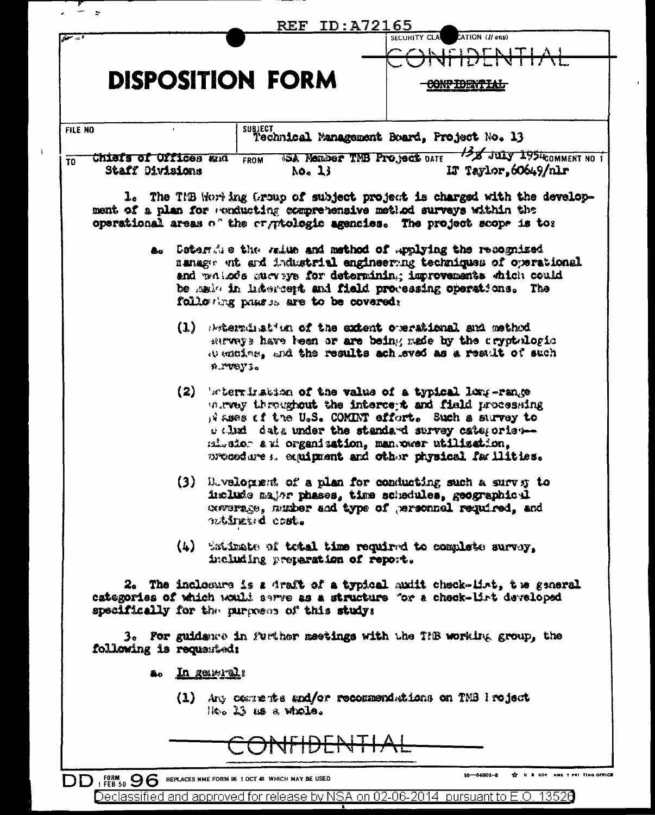|                         |                         |                    | <b>REF ID:A72165</b>                         | ATION (If any)<br>SECURITY CLA                                                                                                                                                                                                                                                                                                        |  |
|-------------------------|-------------------------|--------------------|----------------------------------------------|---------------------------------------------------------------------------------------------------------------------------------------------------------------------------------------------------------------------------------------------------------------------------------------------------------------------------------------|--|
|                         |                         |                    |                                              | <del>JNFIDENTI</del>                                                                                                                                                                                                                                                                                                                  |  |
| <b>DISPOSITION FORM</b> |                         |                    |                                              |                                                                                                                                                                                                                                                                                                                                       |  |
| FILE NO                 |                         | <b>SUBJECT</b>     |                                              | Technical Management Board, Project No. 13                                                                                                                                                                                                                                                                                            |  |
|                         | Chiefs of Offices and   | FROM               |                                              | USA Nember TMB Project DATE 138 JULY 1954 COMMENT NO 1                                                                                                                                                                                                                                                                                |  |
|                         | Staff Divisions         |                    | No <sub>n</sub> 13                           | IF Taylor, 60649/nlr                                                                                                                                                                                                                                                                                                                  |  |
|                         |                         |                    |                                              | 1. The TMB Worting Group of subject project is charged with the develop-<br>ment of a plan for evaducting comprehensive method surveys within the<br>operational areas of the cryptologic agencies. The project scope is to:<br>a. Determine the raine and method of upplying the recognized                                          |  |
|                         |                         |                    | following passes are to be covered:          | nanage ent and industrial engineering techniques of operational<br>and wateds surveys for determining improvements which could<br>be said in lifercent and field processing operations. The                                                                                                                                           |  |
|                         |                         | n PVOY 3.          |                                              | (1) Brienwinst an of the extent overstional and method<br>surveys have been or are being made by the cryptologic<br>Wentige, and the results achieved as a result of such                                                                                                                                                             |  |
|                         |                         |                    |                                              | $(2)$ 's termination of the value of a typical long-range<br>wray throughout the intercept and field processing<br>It ases of the U.S. COMINT effort. Such a survey to<br>welled data under the standard survey categories-<br>missior and organization, manswer utilization,<br>procedures, equipment and other physical familities. |  |
|                         |                         | notinuand cost.    |                                              | (3) Buvelogient of a plan for conducting such a survey to<br>include major phases, time schedules, geographical<br>coverage, musher and type of personnel required, and                                                                                                                                                               |  |
|                         |                         |                    | including preparation of report.             | (4) Satimate of total time required to complete survey.                                                                                                                                                                                                                                                                               |  |
|                         |                         |                    | specifically for the purposes of this study: | 2. The inclosure is a draft of a typical mult check-list, the general<br>categories of which would sarve as a structure for a check-list developed                                                                                                                                                                                    |  |
|                         | following is requested: |                    |                                              | 3. For guidance in further meetings with the THB working group, the                                                                                                                                                                                                                                                                   |  |
|                         | a. In generals          |                    |                                              |                                                                                                                                                                                                                                                                                                                                       |  |
|                         |                         | He. 13 as a whole. |                                              | (1) Any comments and/or recommendations on TMS I roject                                                                                                                                                                                                                                                                               |  |
|                         |                         |                    |                                              |                                                                                                                                                                                                                                                                                                                                       |  |

 $\bar{A}$ 

 $\hat{\mathbf{r}}$ 

Declassified and approved for release by NSA on 02-06-2014 pursuant to E.O. 13526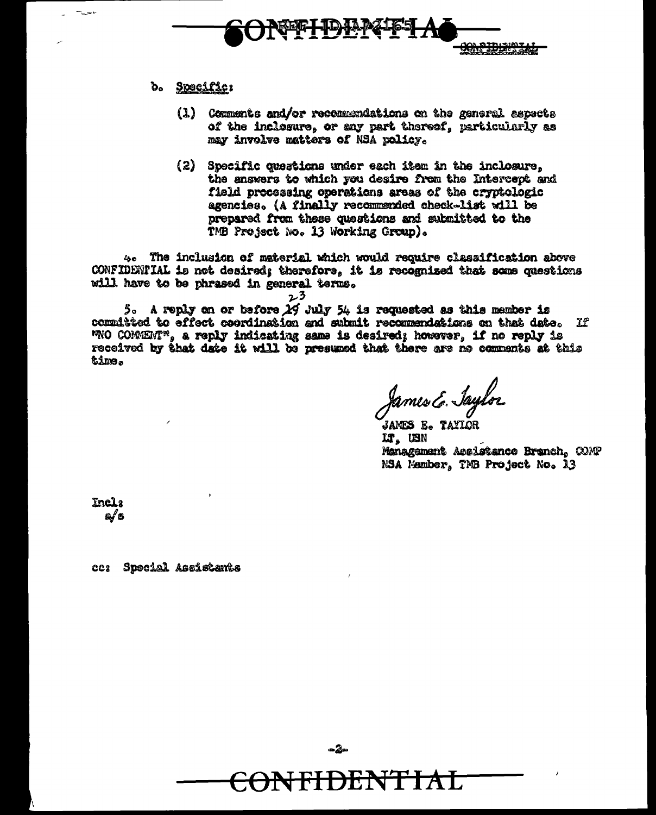

# b. Specific:

- (1) Comments and/or recommendations on the general aspects of the inclosure, or any part thereof, particularly as may involve matters of NSA policy.
- (2) Specific questions under each item in the inclosure, the answers to which you desire from the Intercept and field processing operations areas of the cryptologic agencies. (A finally recommended check-list will be prepared from these questions and submitted to the TMB Project No. 13 Working Group).

4. The inclusion of material which would require classification above CONFIDENTIAL is not desired; therefore, it is recognized that some questions will have to be phrased in general terms.

23

5. A reply on or before 29 July 54 is requested as this member is committed to effect coordination and submit recommendations on that date. If WNO COMMENT", a reply indicating same is desired; however, if no reply is received by that date it will be presumed that there are ne comments at this time.

James E. Jaylor

JAMES E. TAYIOR lt, USN Management Assistance Branch, COMP NSA Member, TMB Project No. 13

Incl: a/s

ce: Special Assistants



 $-2$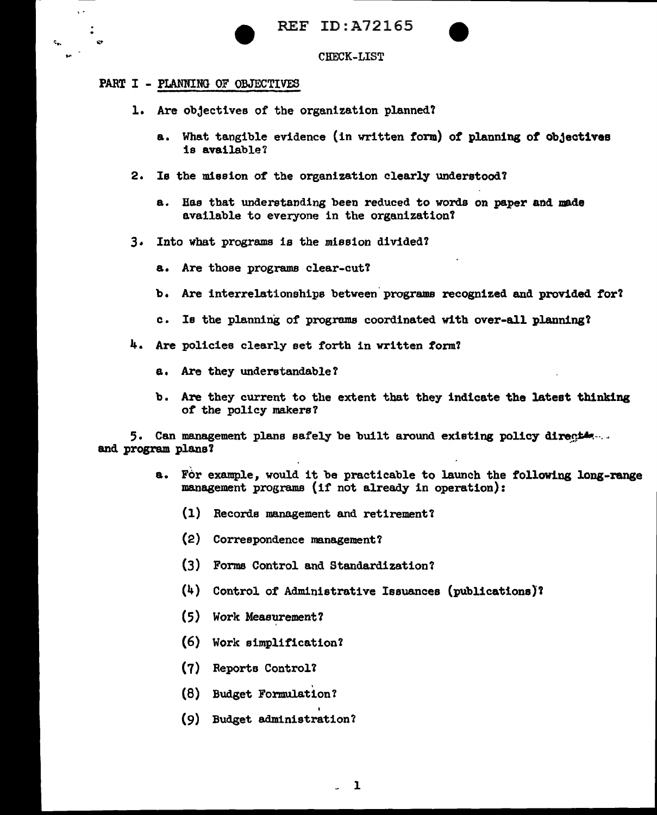

CHECK-LIST

# PART I - PLANNING OF OBJECTIVES

 $\ddot{\phantom{1}}$ 

- l. Are objectives of the organization planned?
	- a. What tangible evidence (in vritten form) of planning of objectives is available?
- 2. le the mission of the organization clearly understood?
	- a. Has that understanding been reduced to words on paper and made available to everyone in the organization?
- 3. Into what programs is the mission divided?
	- a. Are those programs clear-cut'?
	- b. Are interrelationships betveen'programs recognized and provided for?
	- c. Is the planning of programs coordinated with over-all planning?
- 4. Are policies clearly set forth in written form?
	- a. Are they wideretandable?
	- b. Are they current to the extent that they indicate the latest thinking of the policy makers?

5. Can management plans safely be built around existing policy direction. and program plans *1* 

- a. For example, would it be practicable to launch the following long-range management programs (if not already in operation):
	- (1) Records management and retirement?
	- (2) Correspondence management?
	- (3) Forms Control and Standardization?
	- (4) Control of Administrative Issuances (publications)'l
	- (5) Work Measurement?
	- (6) Work simplification?
	- (7) Reports Control?
	- (8) . Budget Formulation?
	- (9) Budget administration?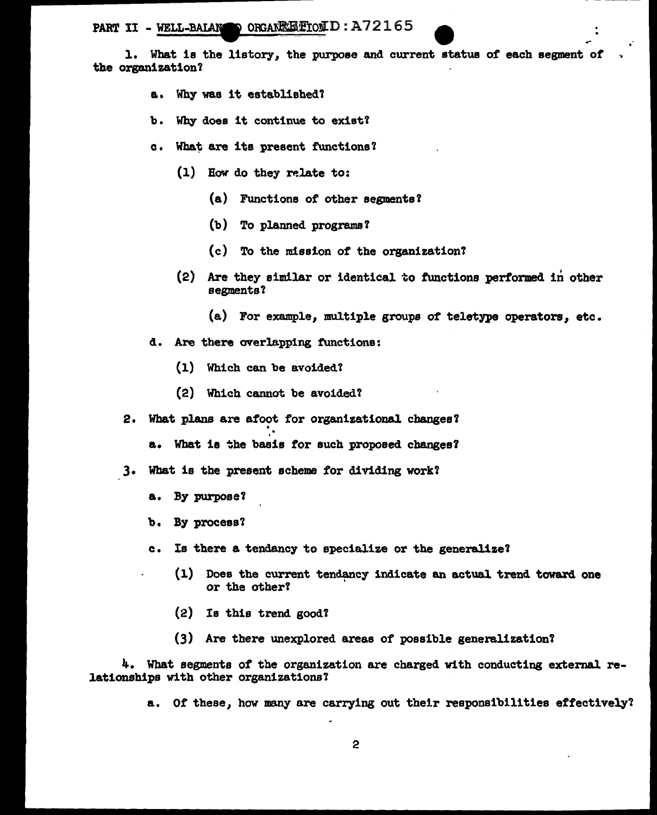PART II - WELL-BAIAN OBGANEE FOLD : A72165

1. What is the listory, the purpose and current status of each segment of the organization?

- a. Why was it established?
- b. Why does it continue to exist?
- c. What are its present functions?
	- $(1)$  How do they relate to:
		- (a) Functions of other segments?
		- (b) To planned programs *1*
		- (c) To the mission of the organization'l
	- (2) Are they similar or identical to functions performed in other segments'l
		- (a) For example, multiple groups of teletype operators, etc.
- d. Are there overlapping functions:
	- (1) Which can be avoided?
	- (2) Which cannot be avoided?
- 2. What plans are afoot for organizational changes?
	- a. What is the basis for such proposed changes?
- 3. What is the present scheme *tor* dividing work'l
	- a. By purpose?
	- b. By process'l
	- c. Is there a tendancy to specialize or the generalize'l
		- (1) Does the current tendancy indicate an actual trend toward one or the other? '
		- (2) Is this trend good?
		- (3) Are there unexplored areas of possible generalization?

4. What segments of the organization are charged w1 th conducting external relationships with other organizations!

a. Of these, how many are carrying out their responsibilities effectively?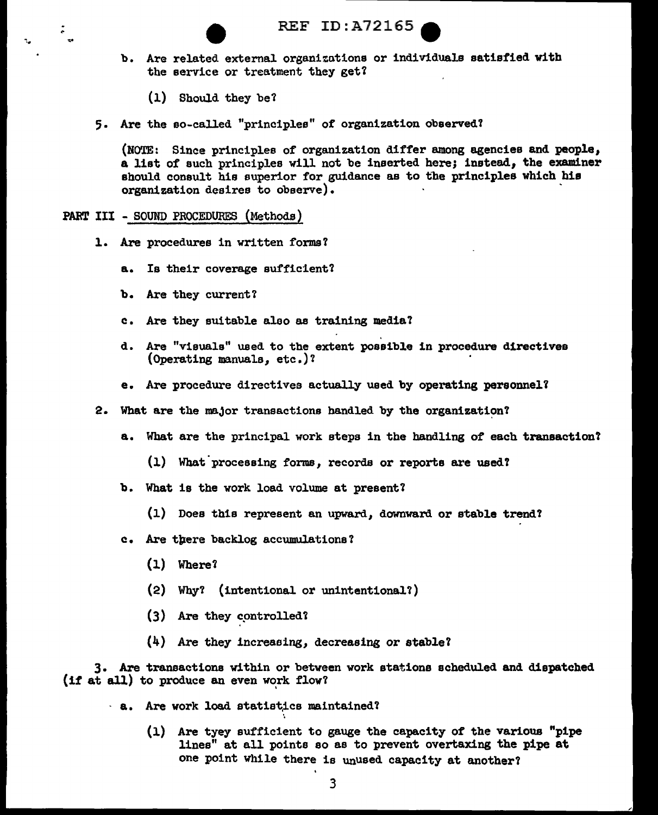- b. Are related external organizations or individuals satisfied with the service or treatment they get?
	- (1) Should they be'l
- 5. Are the so-called "principles" of organization observed?

(NOTE: Since principles of organization differ among agencies and people, a list of such principles will not be inserted here; instead, the examiner should consult his superior for guidance as to the principles which his organization desires to observe). ·

PART III - SOUND PROCEDURES (Methods)

.

- 1. Are procedures in written forms?
	- a. Is their coverage sufficient'l
	- b. Are they current?
	- c. Are they suitable also as training media?
	- d. Are "visuals" used to the extent possible in procedure directives (Operating manuals, etc.)'1
	- e. Are procedure directives actually used by operating personnel?
- 2. What are the major transactions handled by the organization?
	- a. Wbat are the principal work steps in the bandling of each tranaaction'l
		- $(1)$  What processing forms, records or reports are used?
	- b. What is the work load volume at present?
		- (1) Does this represent an upward, downward or stable trend?
	- c. Are tpere backlog accumulations 'l
		- (1) Where?
		- (2) Why1 (intentional or unintentional?)
		- (3) Are they controlled?
		- (4) Are they increaeing, decreasing or stable?

3. Are transactions within or between work stations scheduled and dispatched  $(if at all)$  to produce an even work flow?

- · a. Are work load statistics maintained?
	- (1) Are tyey sufficient to gauge the capacity of the various "pipe lines" at all points so as to prevent overtaxing the pipe at one point while there is unused capacity at another?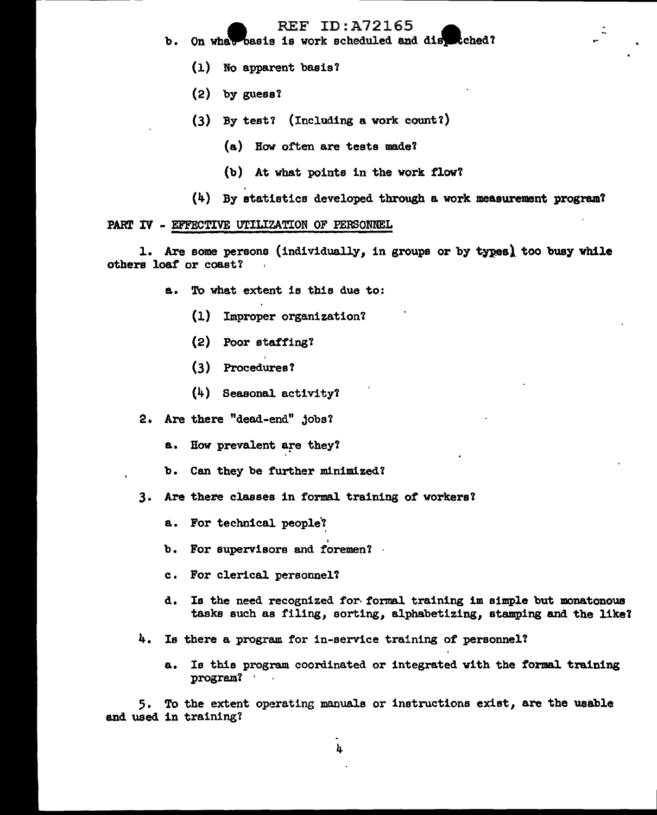- b. On what basis is work scheduled and distriched?
	- (1) No apparent basis?
	- $(2)$  by guess?
	- (3) By test? (Including a work count?)
		- {a) Bow of'ten are tests made?
		- (b) At what points in the work flow?
	- $(4)$  By statistics developed through a work measurement program?

#### PART IV - EFFECTIVE UTILIZATION OF PERSONNEL

1. Are some persons (individually, in groups or by types) too busy while others loaf or coast?

- a. To what extent is this due to:
	- (1) Improper organization?
	- (2) Poor staffing?
	- (3) Procedures'l
	- (4) Seasonal activity?
- 2. Are there "dead-end" Jobs?
	- a. Bow prevalent are they?
	- b. Can they be further minimized?
- 3. Are there classes in formal training of workers?
	- a. For technical people?
	- b. For supervisors and foremen?
	- c. For clerical personnel?
	- d. Is the need recognized for· formal training 1m simple but monatonous tasks such as filing, sorting, alphabetizing, stamping and the like?
- 4. Is there a program for in-service training of personnel?

I

a. Is this program coordinated or integrated with the formal training program? ·

5. To the extent operating manuals or instructions exist */* are the usable and used in training'l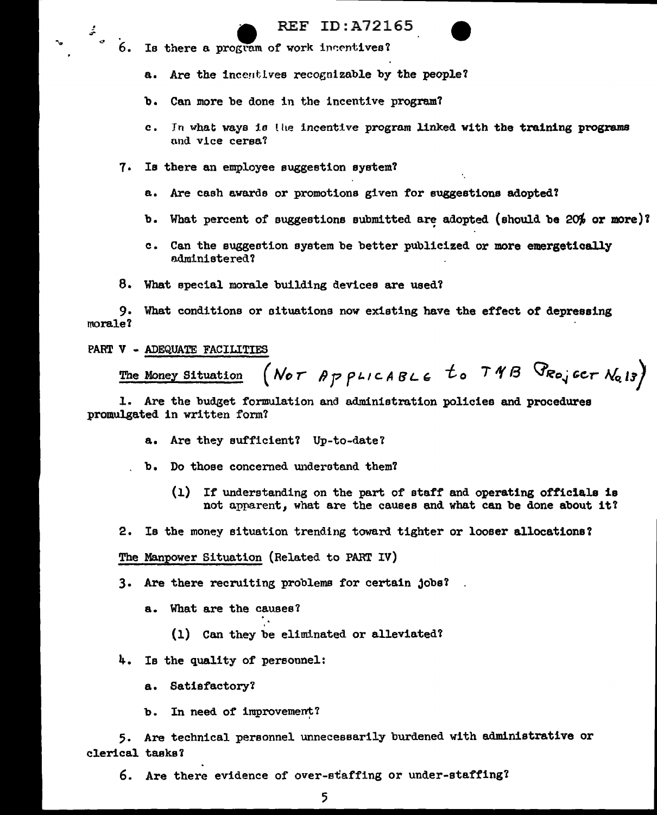- 
- $\frac{2}{5}$   $\frac{1}{6}$ . Is there a program of work incentives?

a. Are the incentives recognizable by the people?

b. Can more be done in the incentive program?

- c. In what ways is the incentive program linked with the training programs and vice cersa?
- 7. Is there an employee suggestion system?
	- a. Are cash awards or promotions given for suggestions adopted?
	- b. What percent of suggestions submitted are adopted (should be  $20\%$  or more)?
	- c. Can the suggestion system be better publicized or more emergetically administered?
- 8. What special morale building devices are used?

9. What conditions or oituatione now existing have the effect of depressing morale?

### PART V - ADEQUATE FACILITIES

(NOT APPLICABLE to TNB PROJECT  $N_{Q13}$ ) The Money Situation

1. Are the budget formulation and administration policies and procedures promulgated in written form?

- a. Are they sufficient? Up-to-date?
- b. Do those concerned understand them?
	- (1) If understanding on the part of staff and operating officials is not apparent, what are the causes and what can be done about it?
- 2. Is tbe money situation trending toward tighter or looser allocatione'l

The Manpower Situation (Related to PARr IV)

3. Are there recruiting problems for certain jobe'l

- a. What are the causes?
	- (1) Can they be elimlnated or alleviated'l

4. Is the quality of personnel:

a. Satisfactory?

b. In need of improvement?

5. Are technical personnel unnecessarily burdened with administrative or clerical taske'l

6. Are there evidence of over-staffing or under-staffing?

5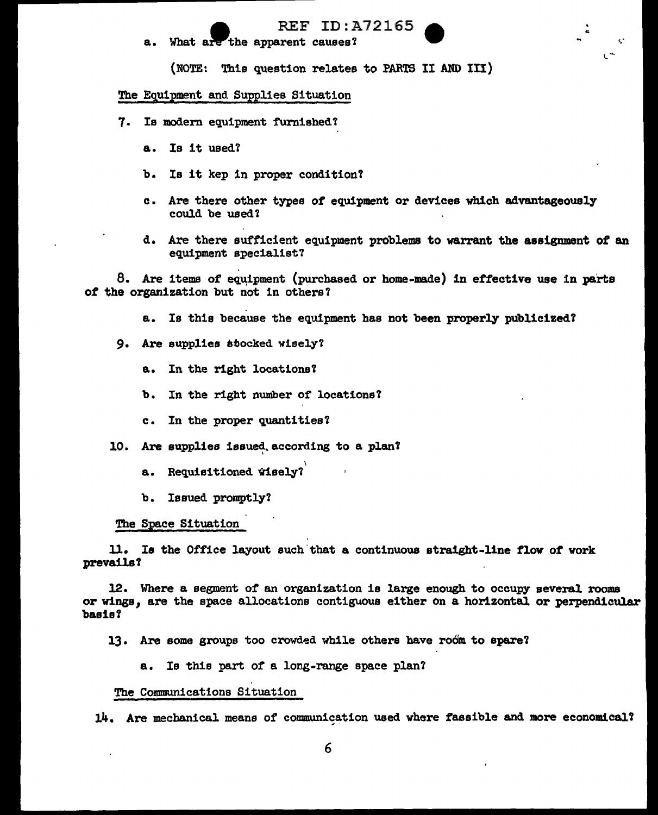. ..

l ~.

a. What are the apparent causes?

(NOTE: Thie question relates to PARTS II AND III)

## The Equipment and Supplies Situation

- 7. Is modern equipment furnished?
	- a. Is it used'l
	- b. Is it kep in proper condition?
	- c. Are there other types of equipment or devices which advantageously could be used?
	- d. Are there sufficient equipment problems to warrant the assignment of an equipment specialist?

8. Are items of equipment (purchased or home-made) in effective use in parts *ot* the organization but not in others?

- a. Is this because the equipment has not been properly publicized?
- 9. Are supplies etocked wisely'l
	- a. In the right locations'l
	- b. In the right number of locations'l
	- c. In the proper quantities'l
- 10. Are supplies issued according to a plan?
	- a. Requisitioned wisely?
	- b. Issued promptly?

### The Space Situation

11. Is the Office layout such that a continuous straight-line flow of work prevails?

12. Where a segment of an organization is large enough to occupy several rooms or wings, are the space allocations contiguous either on a horizontal or perpendicular basis?

- 13. Are some groups too crowded while others have room to spare?
	- a. Is this part of a long-range space plan?

#### The Communications Situation

14. Are mechanical means of communication used where fassible and more economical?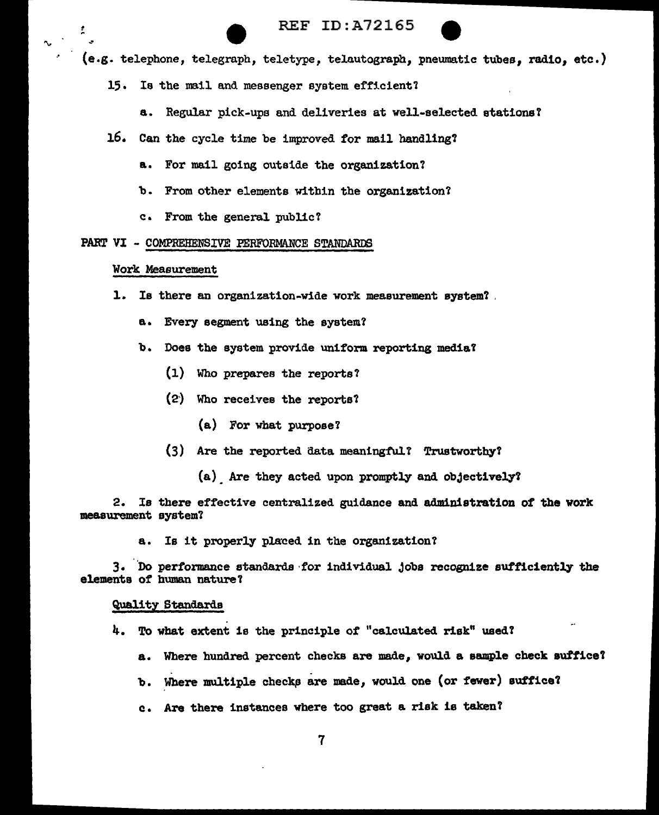

(e.g. telephone, telegraph, teletype, telautograph, pnewnatic tubes, radio, etc.)

- 15. Is the mail and messenger system efficient?
	- a. Regular pick-ups and deliveries at well-selected stations?
- 16. Can the cycle time be improved for mail handling?
	- a. For mail going outside the organization?
	- b. From other elements within the organization?
	- c. From the general public?

#### PART VI - COMPREHENSIVE PERFORMANCE STANDARDS

#### Work Measurement

î

- 1. Is there an organization-wide work measurement system? .
	- a. Every segment using the system?
	- b. Does the system provide uniform reporting media?
		- (1) Who prepares the reports?
		- (2') Who receives the reports?
			- (a) For what purpose?
		- $(3)$  Are the reported data meaningful.' Trustworthy?
			- (a) Are they acted upon promptly and objectively?

2. Is there effective centralized guidance and administration of the work measurement system?

a. Is it properly placed in the organization?

3. Do performance standards for individual jobs recognize sufficiently the elements of human nature?

#### Quality Standards

- 4. To what extent is the principle of "calculated risk" used'l
	- a. Wbere hundred percent checks are made, would a sample check auffice'l
	- b. Where multiple checks are made, would one (or fewer) suffice?
	- c. Are there instances where too great a risk is taken?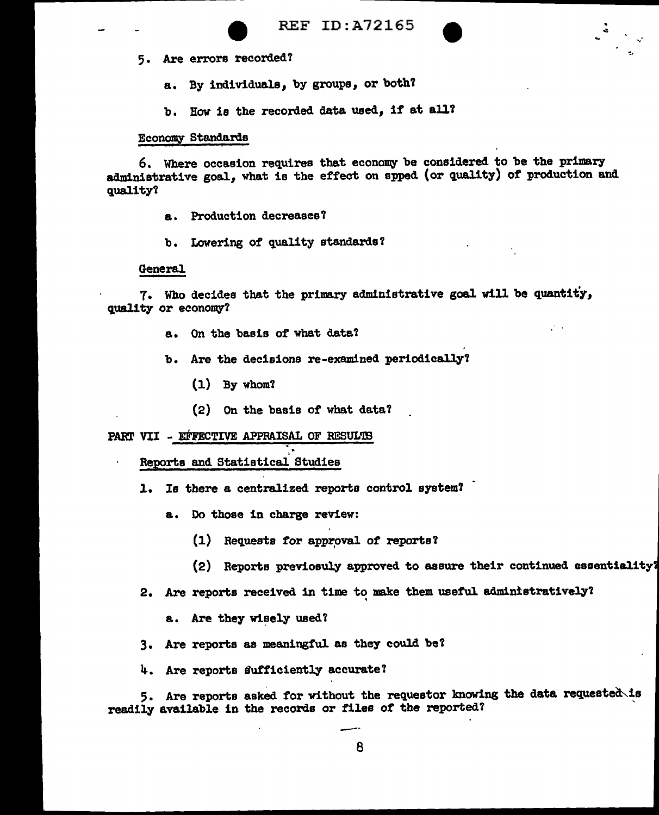- 5. Are errors recorded?
	- a. By individuals, by groups, or both?
	- b. How is the recorded data used, if at all?

# Economy Standards

6. Where occasion requires that economy be considered to be the primary administrative goal, what is the effect on spped (or quality) of production and quality'l

- a. Production decreases?
- b. Lowering of quality standards?

#### General

7. Who decides that the primary administrative goal will be quantity, quality or economy?

- a. On the basis of what data'l
- b. Are the decisions re-examined periodically'l
	- (1) By whom'l
	- (2) On the basis of what data'l

### PART VII - EFFECTIVE APPRAISAL OF RESULTS

Reports and Statistical Studies

1. Is there a centralized reports control system!

- a. Do those in charge review:
	- (1) Requests for approval of reports?
	- (2) Reports previosuly approved to aaeure their continued essentia1ity
- 2. Are reports received in time to make them useful administratively?
	- a. Are they wisely used?
- 3. Are reports as meaningful as they could be'l
- 4. Are reports sufficiently accurate?

5. Are reports asked for without the requestor knowing the data requested is readily available in the records or files of the reported?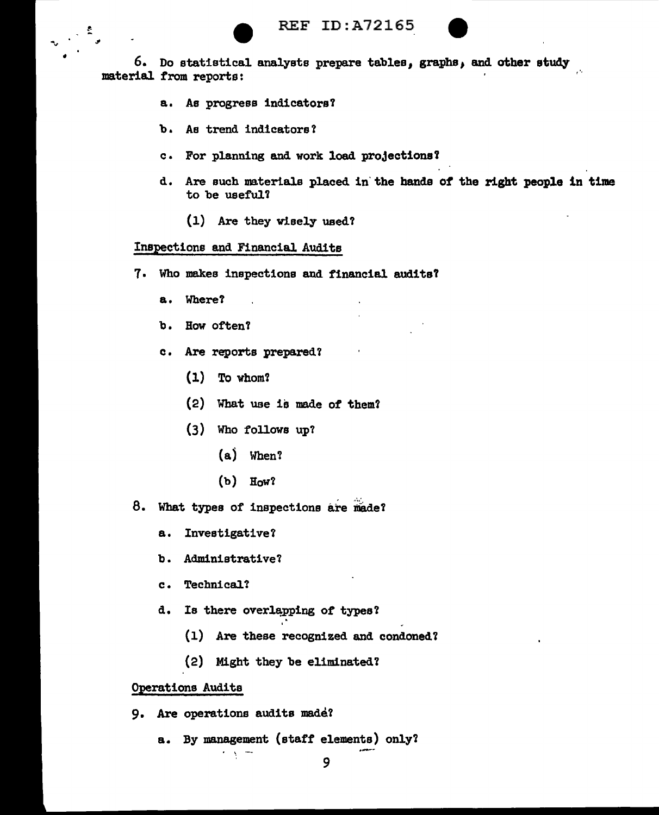

6. Do statistical analysts prepare tables, graphs, and other study material from reports:

- a. As progress indicators?
- b. As trend indicators'?
- c For planning and work load projections Y
- d. Are such materials placed in' the hands of the right people in time to be useful?
	- (1) Are they wisely ueed'l

### Inspections and Financial Audits

- 7. Who makes inspections and financial audits?
	- a. Where?

•

- b. Bow often?
- c. Are reports prepared?
	- (1) To whom'l
	- $(2)$  What use is made of them?
	- (3) Who follows up?
		- (aj When?
		- $(b)$  How?
- 8. What types of inspections are made?
	- a. Investigative?
	- b. Administrative?
	- c. Technical?
	- d. Is there overlapping of types?
		- (1) Are these recognized and condoned?
		- (2) Might they be eliminated?

#### Operations Audits

9. Are operations audits made?

 $\gamma$  ,  $\gamma$  ,  $\gamma$ 

a. By management (staff' elements) only'l